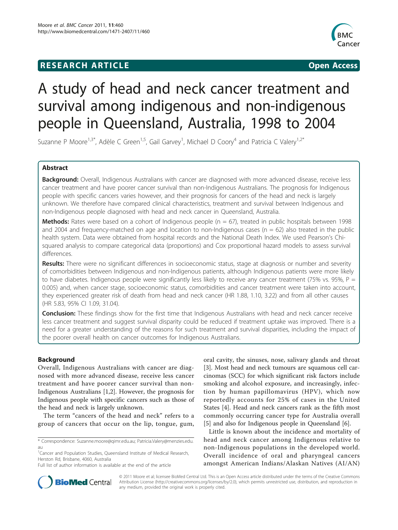# **RESEARCH ARTICLE Example 2018 12:00 Open Access**



# A study of head and neck cancer treatment and survival among indigenous and non-indigenous people in Queensland, Australia, 1998 to 2004

Suzanne P Moore<sup>1,3\*</sup>, Adèle C Green<sup>1,5</sup>, Gail Garvey<sup>1</sup>, Michael D Coory<sup>4</sup> and Patricia C Valery<sup>1,2\*</sup>

# Abstract

Background: Overall, Indigenous Australians with cancer are diagnosed with more advanced disease, receive less cancer treatment and have poorer cancer survival than non-Indigenous Australians. The prognosis for Indigenous people with specific cancers varies however, and their prognosis for cancers of the head and neck is largely unknown. We therefore have compared clinical characteristics, treatment and survival between Indigenous and non-Indigenous people diagnosed with head and neck cancer in Queensland, Australia.

**Methods:** Rates were based on a cohort of Indigenous people ( $n = 67$ ), treated in public hospitals between 1998 and 2004 and frequency-matched on age and location to non-Indigenous cases ( $n = 62$ ) also treated in the public health system. Data were obtained from hospital records and the National Death Index. We used Pearson's Chisquared analysis to compare categorical data (proportions) and Cox proportional hazard models to assess survival differences.

Results: There were no significant differences in socioeconomic status, stage at diagnosis or number and severity of comorbidities between Indigenous and non-Indigenous patients, although Indigenous patients were more likely to have diabetes. Indigenous people were significantly less likely to receive any cancer treatment (75% vs. 95%,  $P =$ 0.005) and, when cancer stage, socioeconomic status, comorbidities and cancer treatment were taken into account, they experienced greater risk of death from head and neck cancer (HR 1.88, 1.10, 3.22) and from all other causes (HR 5.83, 95% CI 1.09, 31.04).

**Conclusion:** These findings show for the first time that Indigenous Australians with head and neck cancer receive less cancer treatment and suggest survival disparity could be reduced if treatment uptake was improved. There is a need for a greater understanding of the reasons for such treatment and survival disparities, including the impact of the poorer overall health on cancer outcomes for Indigenous Australians.

# Background

Overall, Indigenous Australians with cancer are diagnosed with more advanced disease, receive less cancer treatment and have poorer cancer survival than non-Indigenous Australians [[1](#page-6-0),[2\]](#page-6-0). However, the prognosis for Indigenous people with specific cancers such as those of the head and neck is largely unknown.

The term "cancers of the head and neck" refers to a group of cancers that occur on the lip, tongue, gum,

oral cavity, the sinuses, nose, salivary glands and throat [[3\]](#page-6-0). Most head and neck tumours are squamous cell carcinomas (SCC) for which significant risk factors include smoking and alcohol exposure, and increasingly, infection by human papillomavirus (HPV), which now reportedly accounts for 25% of cases in the United States [\[4](#page-6-0)]. Head and neck cancers rank as the fifth most commonly occurring cancer type for Australia overall [[5\]](#page-6-0) and also for Indigenous people in Queensland [\[6](#page-6-0)].

Little is known about the incidence and mortality of head and neck cancer among Indigenous relative to non-Indigenous populations in the developed world. Overall incidence of oral and pharyngeal cancers amongst American Indians/Alaskan Natives (AI/AN)



© 2011 Moore et al; licensee BioMed Central Ltd. This is an Open Access article distributed under the terms of the Creative Commons Attribution License [\(http://creativecommons.org/licenses/by/2.0](http://creativecommons.org/licenses/by/2.0)), which permits unrestricted use, distribution, and reproduction in any medium, provided the original work is properly cited.

<sup>\*</sup> Correspondence: [Suzanne.moore@qimr.edu.au;](mailto:Suzanne.moore@qimr.edu.au) [Patricia.Valery@menzies.edu.](mailto:Patricia.Valery@menzies.edu.au) [au](mailto:Patricia.Valery@menzies.edu.au)

<sup>&</sup>lt;sup>1</sup> Cancer and Population Studies, Queensland Institute of Medical Research, Herston Rd, Brisbane, 4060, Australia

Full list of author information is available at the end of the article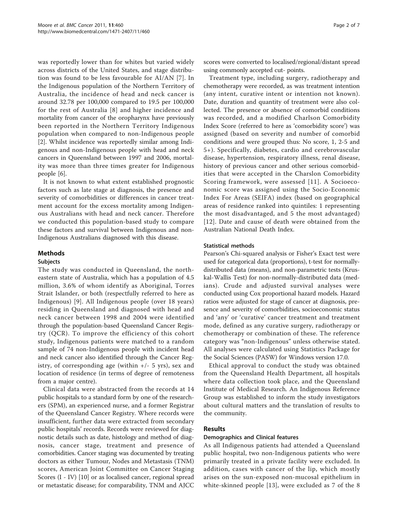was reportedly lower than for whites but varied widely across districts of the United States, and stage distribution was found to be less favourable for AI/AN [\[7\]](#page-6-0). In the Indigenous population of the Northern Territory of Australia, the incidence of head and neck cancer is around 32.78 per 100,000 compared to 19.5 per 100,000 for the rest of Australia [[8\]](#page-6-0) and higher incidence and mortality from cancer of the oropharynx have previously been reported in the Northern Territory Indigenous population when compared to non-Indigenous people [[2\]](#page-6-0). Whilst incidence was reportedly similar among Indigenous and non-Indigenous people with head and neck cancers in Queensland between 1997 and 2006, mortality was more than three times greater for Indigenous people [[6\]](#page-6-0).

It is not known to what extent established prognostic factors such as late stage at diagnosis, the presence and severity of comorbidities or differences in cancer treatment account for the excess mortality among Indigenous Australians with head and neck cancer. Therefore we conducted this population-based study to compare these factors and survival between Indigenous and non-Indigenous Australians diagnosed with this disease.

# Methods

# **Subjects**

The study was conducted in Queensland, the northeastern state of Australia, which has a population of 4.5 million, 3.6% of whom identify as Aboriginal, Torres Strait Islander, or both (respectfully referred to here as Indigenous) [[9](#page-6-0)]. All Indigenous people (over 18 years) residing in Queensland and diagnosed with head and neck cancer between 1998 and 2004 were identified through the population-based Queensland Cancer Registry (QCR). To improve the efficiency of this cohort study, Indigenous patients were matched to a random sample of 74 non-Indigenous people with incident head and neck cancer also identified through the Cancer Registry, of corresponding age (within  $+/-$  5 yrs), sex and location of residence (in terms of degree of remoteness from a major centre).

Clinical data were abstracted from the records at 14 public hospitals to a standard form by one of the researchers (SPM), an experienced nurse, and a former Registrar of the Queensland Cancer Registry. Where records were insufficient, further data were extracted from secondary public hospitals' records. Records were reviewed for diagnostic details such as date, histology and method of diagnosis, cancer stage, treatment and presence of comorbidities. Cancer staging was documented by treating doctors as either Tumour, Nodes and Metastasis (TNM) scores, American Joint Committee on Cancer Staging Scores (I - IV) [[10\]](#page-6-0) or as localised cancer, regional spread or metastatic disease; for comparability, TNM and AJCC scores were converted to localised/regional/distant spread using commonly accepted cut- points.

Treatment type, including surgery, radiotherapy and chemotherapy were recorded, as was treatment intention (any intent, curative intent or intention not known). Date, duration and quantity of treatment were also collected. The presence or absence of comorbid conditions was recorded, and a modified Charlson Comorbidity Index Score (referred to here as 'comorbidity score') was assigned (based on severity and number of comorbid conditions and were grouped thus: No score, 1, 2-5 and 5+). Specifically, diabetes, cardio and cerebrovascular disease, hypertension, respiratory illness, renal disease, history of previous cancer and other serious comorbidities that were accepted in the Charslon Comorbidity Scoring framework, were assessed [[11\]](#page-6-0). A Socioeconomic score was assigned using the Socio-Economic Index For Areas (SEIFA) index (based on geographical areas of residence ranked into quintiles: 1 representing the most disadvantaged, and 5 the most advantaged) [[12](#page-6-0)]. Date and cause of death were obtained from the Australian National Death Index.

## Statistical methods

Pearson's Chi-squared analysis or Fisher's Exact test were used for categorical data (proportions), t-test for normallydistributed data (means), and non-parametric tests (Kruskal-Wallis Test) for non-normally-distributed data (medians). Crude and adjusted survival analyses were conducted using Cox proportional hazard models. Hazard ratios were adjusted for stage of cancer at diagnosis, presence and severity of comorbidities, socioeconomic status and 'any' or 'curative' cancer treatment and treatment mode, defined as any curative surgery, radiotherapy or chemotherapy or combination of these. The reference category was "non-Indigenous" unless otherwise stated. All analyses were calculated using Statistics Package for the Social Sciences (PASW) for Windows version 17.0.

Ethical approval to conduct the study was obtained from the Queensland Health Department, all hospitals where data collection took place, and the Queensland Institute of Medical Research. An Indigenous Reference Group was established to inform the study investigators about cultural matters and the translation of results to the community.

# Results

#### Demographics and Clinical features

As all Indigenous patients had attended a Queensland public hospital, two non-Indigenous patients who were primarily treated in a private facility were excluded. In addition, cases with cancer of the lip, which mostly arises on the sun-exposed non-mucosal epithelium in white-skinned people [[13\]](#page-6-0), were excluded as 7 of the 8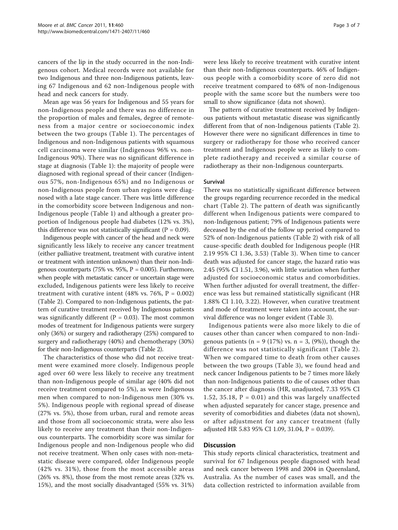cancers of the lip in the study occurred in the non-Indigenous cohort. Medical records were not available for two Indigenous and three non-Indigenous patients, leaving 67 Indigenous and 62 non-Indigenous people with head and neck cancers for study.

Mean age was 56 years for Indigenous and 55 years for non-Indigenous people and there was no difference in the proportion of males and females, degree of remoteness from a major centre or socioeconomic index between the two groups (Table [1](#page-3-0)). The percentages of Indigenous and non-Indigenous patients with squamous cell carcinoma were similar (Indigenous 96% vs. non-Indigenous 90%). There was no significant difference in stage at diagnosis (Table [1](#page-3-0)): the majority of people were diagnosed with regional spread of their cancer (Indigenous 57%, non-Indigenous 65%) and no Indigenous or non-Indigenous people from urban regions were diagnosed with a late stage cancer. There was little difference in the comorbidity score between Indigenous and non-Indigenous people (Table [1](#page-3-0)) and although a greater proportion of Indigenous people had diabetes (12% vs. 3%), this difference was not statistically significant ( $P = 0.09$ ).

Indigenous people with cancer of the head and neck were significantly less likely to receive any cancer treatment (either palliative treatment, treatment with curative intent or treatment with intention unknown) than their non-Indigenous counterparts (75% vs. 95%,  $P = 0.005$ ). Furthermore, when people with metastatic cancer or uncertain stage were excluded, Indigenous patients were less likely to receive treatment with curative intent (48% vs. 76%,  $P = 0.002$ ) (Table [2](#page-4-0)). Compared to non-Indigenous patients, the pattern of curative treatment received by Indigenous patients was significantly different ( $P = 0.03$ ). The most common modes of treatment for Indigenous patients were surgery only (36%) or surgery and radiotherapy (25%) compared to surgery and radiotherapy (40%) and chemotherapy (30%) for their non-Indigenous counterparts (Table [2\)](#page-4-0).

The characteristics of those who did not receive treatment were examined more closely. Indigenous people aged over 60 were less likely to receive any treatment than non-Indigenous people of similar age (40% did not receive treatment compared to 5%), as were Indigenous men when compared to non-Indigenous men (30% vs. 5%). Indigenous people with regional spread of disease (27% vs. 5%), those from urban, rural and remote areas and those from all socioeconomic strata, were also less likely to receive any treatment than their non-Indigenous counterparts. The comorbidity score was similar for Indigenous people and non-Indigenous people who did not receive treatment. When only cases with non-metastatic disease were compared, older Indigenous people (42% vs. 31%), those from the most accessible areas (26% vs. 8%), those from the most remote areas (32% vs. 15%), and the most socially disadvantaged (55% vs. 31%)

were less likely to receive treatment with curative intent than their non-Indigenous counterparts. 46% of Indigenous people with a comorbidity score of zero did not receive treatment compared to 68% of non-Indigenous people with the same score but the numbers were too small to show significance (data not shown).

The pattern of curative treatment received by Indigenous patients without metastatic disease was significantly different from that of non-Indigenous patients (Table [2](#page-4-0)). However there were no significant differences in time to surgery or radiotherapy for those who received cancer treatment and Indigenous people were as likely to complete radiotherapy and received a similar course of radiotherapy as their non-Indigenous counterparts.

#### Survival

There was no statistically significant difference between the groups regarding recurrence recorded in the medical chart (Table [2\)](#page-4-0). The pattern of death was significantly different when Indigenous patients were compared to non-Indigenous patient; 79% of Indigenous patients were deceased by the end of the follow up period compared to 52% of non-Indigenous patients (Table [2](#page-4-0)) with risk of all cause-specific death doubled for Indigenous people (HR 2.19 95% CI 1.36, 3.53) (Table [3](#page-4-0)). When time to cancer death was adjusted for cancer stage, the hazard ratio was 2.45 (95% CI 1.51, 3.96), with little variation when further adjusted for socioeconomic status and comorbidities. When further adjusted for overall treatment, the difference was less but remained statistically significant (HR 1.88% CI 1.10, 3.22). However, when curative treatment and mode of treatment were taken into account, the survival difference was no longer evident (Table [3\)](#page-4-0).

Indigenous patients were also more likely to die of causes other than cancer when compared to non-Indigenous patients ( $n = 9$  (17%) vs.  $n = 3$ , (9%)), though the difference was not statistically significant (Table [2\)](#page-4-0). When we compared time to death from other causes between the two groups (Table [3\)](#page-4-0), we found head and neck cancer Indigenous patients to be 7 times more likely than non-Indigenous patients to die of causes other than the cancer after diagnosis (HR, unadjusted, 7.33 95% CI 1.52, 35.18,  $P = 0.01$ ) and this was largely unaffected when adjusted separately for cancer stage, presence and severity of comorbidities and diabetes (data not shown), or after adjustment for any cancer treatment (fully adjusted HR 5.83 95% CI 1.09, 31.04, P = 0.039).

# **Discussion**

This study reports clinical characteristics, treatment and survival for 67 Indigenous people diagnosed with head and neck cancer between 1998 and 2004 in Queensland, Australia. As the number of cases was small, and the data collection restricted to information available from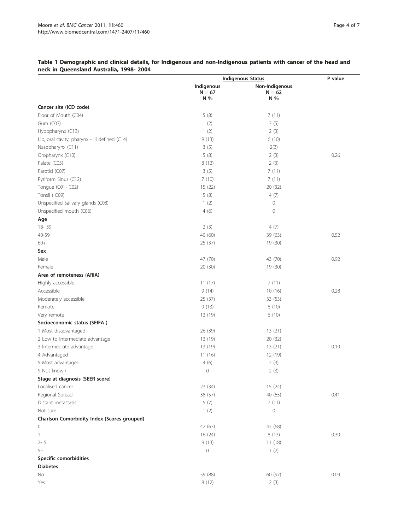|                                               |                 | <b>Indigenous Status</b> | P value |
|-----------------------------------------------|-----------------|--------------------------|---------|
|                                               | Indigenous      | Non-Indigenous           |         |
|                                               | $N = 67$<br>N % | $N = 62$<br>N %          |         |
| Cancer site (ICD code)                        |                 |                          |         |
| Floor of Mouth (C04)                          | 5(8)            | 7(11)                    |         |
| Gum (C03)                                     | 1(2)            | 3(5)                     |         |
| Hypopharynx (C13)                             | 1(2)            | 2(3)                     |         |
| Lip, oral cavity, pharynx - ill defined (C14) | 9(13)           | 6(10)                    |         |
| Nasopharynx (C11)                             | 3(5)            | 2(3)                     |         |
| Oropharynx (C10)                              | 5(8)            | 2(3)                     | 0.26    |
| Palate (C05)                                  | 8(12)           | 2(3)                     |         |
| Parotid (C07)                                 | 3(5)            | 7(11)                    |         |
| Pyriform Sinus (C12)                          | 7(10)           | 7(11)                    |         |
| Tongue (C01-C02)                              | 15(22)          | 20 (32)                  |         |
| Tonsil (C09)                                  |                 | 4(7)                     |         |
|                                               | 5(8)            |                          |         |
| Unspecified Salivary glands (C08)             | 1(2)            | $\circ$<br>$\circ$       |         |
| Unspecified mouth (C06)                       | 4(6)            |                          |         |
| Age                                           |                 |                          |         |
| 18-39                                         | 2(3)            | 4(7)                     |         |
| 40-59                                         | 40 (60)         | 39 (63)                  | 0.52    |
| $60+$                                         | 25(37)          | 19 (30)                  |         |
| Sex                                           |                 |                          |         |
| Male                                          | 47 (70)         | 43 (70)                  | 0.92    |
| Female                                        | 20 (30)         | 19 (30)                  |         |
| Area of remoteness (ARIA)                     |                 |                          |         |
| Highly accessible                             | 11(17)          | 7(11)                    |         |
| Accessible                                    | 9(14)           | 10(16)                   | 0.28    |
| Moderately accessible                         | 25(37)          | 33 (53)                  |         |
| Remote                                        | 9(13)           | 6(10)                    |         |
| Very remote                                   | 13 (19)         | 6(10)                    |         |
| Socioeconomic status (SEIFA)                  |                 |                          |         |
| 1 Most disadvantaged                          | 26 (39)         | 13(21)                   |         |
| 2 Low to Intermediate advantage               | 13 (19)         | 20 (32)                  |         |
| 3 Intermediate advantage                      | 13 (19)         | 13(21)                   | 0.19    |
| 4 Advantaged                                  | 11(16)          | 12 (19)                  |         |
| 5 Most advantaged                             | 4(6)            | 2(3)                     |         |
| 9 Not known                                   | 0               | 2(3)                     |         |
| Stage at diagnosis (SEER score)               |                 |                          |         |
| Localised cancer                              | 23 (34)         | 15(24)                   |         |
| Regional Spread                               | 38 (57)         | 40 (65)                  | 0.41    |
| Distant metastasis                            | 5(7)            | 7(11)                    |         |
| Not sure                                      | 1(2)            | $\mathsf{O}\xspace$      |         |
| Charlson Comorbidity Index (Scores grouped)   |                 |                          |         |
| 0                                             | 42 (63)         | 42 (68)                  |         |
| $\mathbf{1}$                                  | 16 (24)         | 8(13)                    | 0.30    |
| $2 - 5$                                       | 9(13)           | 11(18)                   |         |
| $5+$                                          | 0               | 1(2)                     |         |
| Specific comorbidities                        |                 |                          |         |
| <b>Diabetes</b>                               |                 |                          |         |
| No                                            | 59 (88)         | 60 (97)                  | 0.09    |
| Yes                                           | 8(12)           | 2(3)                     |         |
|                                               |                 |                          |         |

# <span id="page-3-0"></span>Table 1 Demographic and clinical details, for Indigenous and non-Indigenous patients with cancer of the head and neck in Queensland Australia, 1998- 2004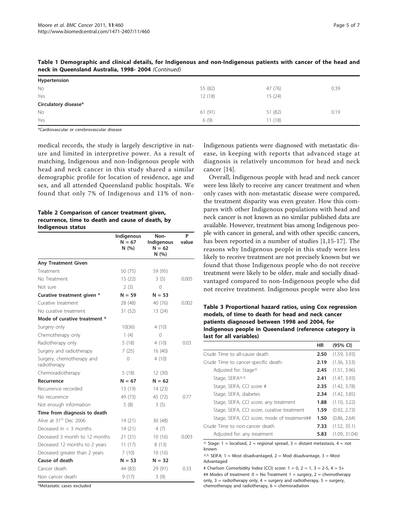| $T = 200$ in Queensiand Australia, 1990-2004 (Committed) |         |         |      |  |  |
|----------------------------------------------------------|---------|---------|------|--|--|
| Hypertension                                             |         |         |      |  |  |
| <b>No</b>                                                | 55 (82) | 47 (76) | 0.39 |  |  |
| Yes                                                      | 12(18)  | 15(24)  |      |  |  |
| Circulatory disease*                                     |         |         |      |  |  |
| <b>No</b>                                                | 61(91)  | 51 (82) | 0.19 |  |  |
| Yes                                                      | 6(9)    | 11(18)  |      |  |  |

<span id="page-4-0"></span>Table 1 Demographic and clinical details, for Indigenous and non-Indigenous patients with cancer of the head and neck in Queensland Australia, 1998- 2004 (Continued)

\*Cardiovascular or cerebrovascular disease

medical records, the study is largely descriptive in nature and limited in interpretive power. As a result of matching, Indigenous and non-Indigenous people with head and neck cancer in this study shared a similar demographic profile for location of residence, age and sex, and all attended Queensland public hospitals. We found that only 7% of Indigenous and 11% of non-

### Table 2 Comparison of cancer treatment given, recurrence, time to death and cause of death, by Indigenous status

|                                           | Indigenous<br>$N = 67$<br>N(%) | Non-<br>Indigenous<br>$N = 62$<br>N(%) | P<br>value |
|-------------------------------------------|--------------------------------|----------------------------------------|------------|
| <b>Any Treatment Given</b>                |                                |                                        |            |
| Treatment                                 | 50 (75)                        | 59 (95)                                |            |
| No Treatment                              | 15(22)                         | 3(5)                                   | 0.005      |
| Not sure                                  | 2(3)                           | 0                                      |            |
| Curative treatment given *                | $N = 59$                       | $N = 53$                               |            |
| Curative treatment                        | 28 (48)                        | 40 (76)                                | 0.002      |
| No curative treatment                     | 31 (52)                        | 13 (24)                                |            |
| Mode of curative treatment *              |                                |                                        |            |
| Surgery only                              | 10(36)                         | 4(10)                                  |            |
| Chemotherapy only                         | 1(4)                           | 0                                      |            |
| Radiotherapy only                         | 5(18)                          | 4(10)                                  | 0.03       |
| Surgery and radiotherapy                  | 7(25)                          | 16(40)                                 |            |
| Surgery, chemotherapy and<br>radiotherapy | $\Omega$                       | 4(10)                                  |            |
| Chemoradiotherapy                         | 5(18)                          | 12(30)                                 |            |
| Recurrence                                | $N = 67$                       | $N = 62$                               |            |
| Recurrence recorded                       | 13 (19)                        | 14(23)                                 |            |
| No recurrence                             | 49 (73)                        | 45 (72)                                | 0.77       |
| Not enough information                    | 5(8)                           | 3(5)                                   |            |
| Time from diagnosis to death              |                                |                                        |            |
| Alive at 31 <sup>st</sup> Dec 2006        | 14(21)                         | 30 (48)                                |            |
| Deceased in $<$ 3 months                  | 14 (21)                        | 4(7)                                   |            |
| Deceased 3 month to 12 months             | 21(31)                         | 10(16)                                 | 0.003      |
| Deceased 12 months to 2 years             | 11(17)                         | 8(13)                                  |            |
| Deceased greater than 2 years             | 7(10)                          | 10(16)                                 |            |
| Cause of death                            | $N = 53$                       | $N = 32$                               |            |
| Cancer death                              | 44 (83)                        | 29 (91)                                | 0.33       |
| Non cancer death                          | 9(17)                          | 3(9)                                   |            |

\*Metastatic cases excluded

Indigenous patients were diagnosed with metastatic disease, in keeping with reports that advanced stage at diagnosis is relatively uncommon for head and neck cancer [[14](#page-6-0)].

Overall, Indigenous people with head and neck cancer were less likely to receive any cancer treatment and when only cases with non-metastatic disease were compared, the treatment disparity was even greater. How this compares with other Indigenous populations with head and neck cancer is not known as no similar published data are available. However, treatment bias among Indigenous people with cancer in general, and with other specific cancers, has been reported in a number of studies [[1,15](#page-6-0)-[17\]](#page-6-0). The reasons why Indigenous people in this study were less likely to receive treatment are not precisely known but we found that those Indigenous people who do not receive treatment were likely to be older, male and socially disadvantaged compared to non-Indigenous people who did not receive treatment. Indigenous people were also less

Table 3 Proportional hazard ratios, using Cox regression models, of time to death for head and neck cancer patients diagnosed between 1998 and 2004, for Indigenous people in Queensland (reference category is last for all variables)

|                                              | HR   | (95% CI)      |
|----------------------------------------------|------|---------------|
| Crude Time to all-cause death                |      | (1.59, 3.93)  |
| Crude Time to cancer-specific death:         |      | (1.36, 3.53)  |
| Adjusted for: Stage^                         |      | (1.51, 3.96)  |
| Stage, SEIFA^^                               | 2.41 | (1.47, 3.93)  |
| Stage, SEIFA, CCI score #                    | 2.35 | (1.42, 3.78)  |
| Stage, SEIFA, diabetes                       | 2.34 | (1.42, 3.85)  |
| Stage, SEIFA, CCI score, any treatment       | 1.88 | (1.10, 3.22)  |
| Stage, SEIFA, CCI score, curative treatment  | 1.59 | (0.92, 2.73)  |
| Stage, SEIFA, CCI score, mode of treatment## | 1.50 | (0.86, 2.64)  |
| Crude Time to non-cancer death               |      | (1.52, 35.1)  |
| Adjusted for: any treatment                  |      | (1.09, 31.04) |

 $\land$  Stage: 1 = localised, 2 = regional spread, 3 = distant metastasis, 4 = not known

 $\wedge\wedge$  SEIFA: 1 = Most disadvantaged, 2 = Mod disadvantage, 3 = Most Advantaged

# Charlson Comorbidity Index (CCI) score:  $1 = 0$ ,  $2 = 1$ ,  $3 = 2-5$ ,  $4 = 5+$ ## Modes of treatment:  $0 = No$  Treatment  $1 =$  surgery,  $2 =$  chemotherapy only,  $3 =$  radiotherapy only,  $4 =$  surgery and radiotherapy,  $5 =$  surgery, chemotherapy and radiotherapy,  $6 =$  chemoradiation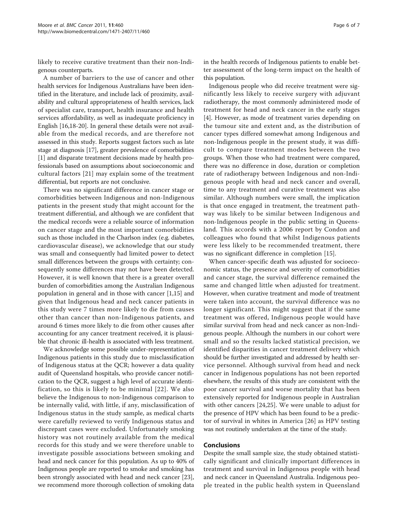likely to receive curative treatment than their non-Indigenous counterparts.

A number of barriers to the use of cancer and other health services for Indigenous Australians have been identified in the literature, and include lack of proximity, availability and cultural appropriateness of health services, lack of specialist care, transport, health insurance and health services affordability, as well as inadequate proficiency in English [\[16,18-20\]](#page-6-0). In general these details were not available from the medical records, and are therefore not assessed in this study. Reports suggest factors such as late stage at diagnosis [\[17\]](#page-6-0), greater prevalence of comorbidities [[1\]](#page-6-0) and disparate treatment decisions made by health professionals based on assumptions about socioeconomic and cultural factors [[21](#page-6-0)] may explain some of the treatment differential, but reports are not conclusive.

There was no significant difference in cancer stage or comorbidities between Indigenous and non-Indigenous patients in the present study that might account for the treatment differential, and although we are confident that the medical records were a reliable source of information on cancer stage and the most important comorbidities such as those included in the Charlson index (e.g. diabetes, cardiovascular disease), we acknowledge that our study was small and consequently had limited power to detect small differences between the groups with certainty; consequently some differences may not have been detected. However, it is well known that there is a greater overall burden of comorbidities among the Australian Indigenous population in general and in those with cancer [[1,15\]](#page-6-0) and given that Indigenous head and neck cancer patients in this study were 7 times more likely to die from causes other than cancer than non-Indigenous patients, and around 6 times more likely to die from other causes after accounting for any cancer treatment received, it is plausible that chronic ill-health is associated with less treatment.

We acknowledge some possible under-representation of Indigenous patients in this study due to misclassification of Indigenous status at the QCR; however a data quality audit of Queensland hospitals, who provide cancer notification to the QCR, suggest a high level of accurate identification, so this is likely to be minimal [[22\]](#page-6-0). We also believe the Indigenous to non-Indigenous comparison to be internally valid, with little, if any, misclassification of Indigenous status in the study sample, as medical charts were carefully reviewed to verify Indigenous status and discrepant cases were excluded. Unfortunately smoking history was not routinely available from the medical records for this study and we were therefore unable to investigate possible associations between smoking and head and neck cancer for this population. As up to 40% of Indigenous people are reported to smoke and smoking has been strongly associated with head and neck cancer [\[23](#page-6-0)], we recommend more thorough collection of smoking data in the health records of Indigenous patients to enable better assessment of the long-term impact on the health of this population.

Indigenous people who did receive treatment were significantly less likely to receive surgery with adjuvant radiotherapy, the most commonly administered mode of treatment for head and neck cancer in the early stages [[4\]](#page-6-0). However, as mode of treatment varies depending on the tumour site and extent and, as the distribution of cancer types differed somewhat among Indigenous and non-Indigenous people in the present study, it was difficult to compare treatment modes between the two groups. When those who had treatment were compared, there was no difference in dose, duration or completion rate of radiotherapy between Indigenous and non-Indigenous people with head and neck cancer and overall, time to any treatment and curative treatment was also similar. Although numbers were small, the implication is that once engaged in treatment, the treatment pathway was likely to be similar between Indigenous and non-Indigenous people in the public setting in Queensland. This accords with a 2006 report by Condon and colleagues who found that whilst Indigenous patients were less likely to be recommended treatment, there was no significant difference in completion [\[15\]](#page-6-0).

When cancer-specific death was adjusted for socioeconomic status, the presence and severity of comorbidities and cancer stage, the survival difference remained the same and changed little when adjusted for treatment. However, when curative treatment and mode of treatment were taken into account, the survival difference was no longer significant. This might suggest that if the same treatment was offered, Indigenous people would have similar survival from head and neck cancer as non-Indigenous people. Although the numbers in our cohort were small and so the results lacked statistical precision, we identified disparities in cancer treatment delivery which should be further investigated and addressed by health service personnel. Although survival from head and neck cancer in Indigenous populations has not been reported elsewhere, the results of this study are consistent with the poor cancer survival and worse mortality that has been extensively reported for Indigenous people in Australian with other cancers [\[24](#page-6-0),[25](#page-6-0)]. We were unable to adjust for the presence of HPV which has been found to be a predictor of survival in whites in America [[26\]](#page-6-0) as HPV testing was not routinely undertaken at the time of the study.

#### Conclusions

Despite the small sample size, the study obtained statistically significant and clinically important differences in treatment and survival in Indigenous people with head and neck cancer in Queensland Australia. Indigenous people treated in the public health system in Queensland